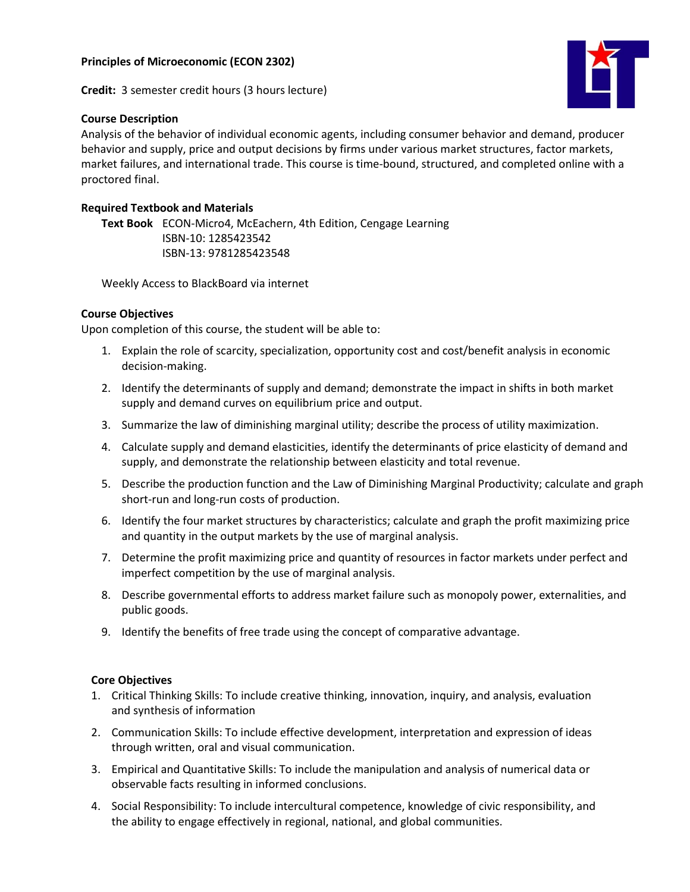

# **Course Description**



Analysis of the behavior of individual economic agents, including consumer behavior and demand, producer behavior and supply, price and output decisions by firms under various market structures, factor markets, market failures, and international trade. This course is time-bound, structured, and completed online with a proctored final.

# **Required Textbook and Materials**

**Text Book** ECON-Micro4, McEachern, 4th Edition, Cengage Learning ISBN-10: 1285423542 ISBN-13: 9781285423548

Weekly Access to BlackBoard via internet

# **Course Objectives**

Upon completion of this course, the student will be able to:

- 1. Explain the role of scarcity, specialization, opportunity cost and cost/benefit analysis in economic decision-making.
- 2. Identify the determinants of supply and demand; demonstrate the impact in shifts in both market supply and demand curves on equilibrium price and output.
- 3. Summarize the law of diminishing marginal utility; describe the process of utility maximization.
- 4. Calculate supply and demand elasticities, identify the determinants of price elasticity of demand and supply, and demonstrate the relationship between elasticity and total revenue.
- 5. Describe the production function and the Law of Diminishing Marginal Productivity; calculate and graph short-run and long-run costs of production.
- 6. Identify the four market structures by characteristics; calculate and graph the profit maximizing price and quantity in the output markets by the use of marginal analysis.
- 7. Determine the profit maximizing price and quantity of resources in factor markets under perfect and imperfect competition by the use of marginal analysis.
- 8. Describe governmental efforts to address market failure such as monopoly power, externalities, and public goods.
- 9. Identify the benefits of free trade using the concept of comparative advantage.

# **Core Objectives**

- 1. Critical Thinking Skills: To include creative thinking, innovation, inquiry, and analysis, evaluation and synthesis of information
- 2. Communication Skills: To include effective development, interpretation and expression of ideas through written, oral and visual communication.
- 3. Empirical and Quantitative Skills: To include the manipulation and analysis of numerical data or observable facts resulting in informed conclusions.
- 4. Social Responsibility: To include intercultural competence, knowledge of civic responsibility, and the ability to engage effectively in regional, national, and global communities.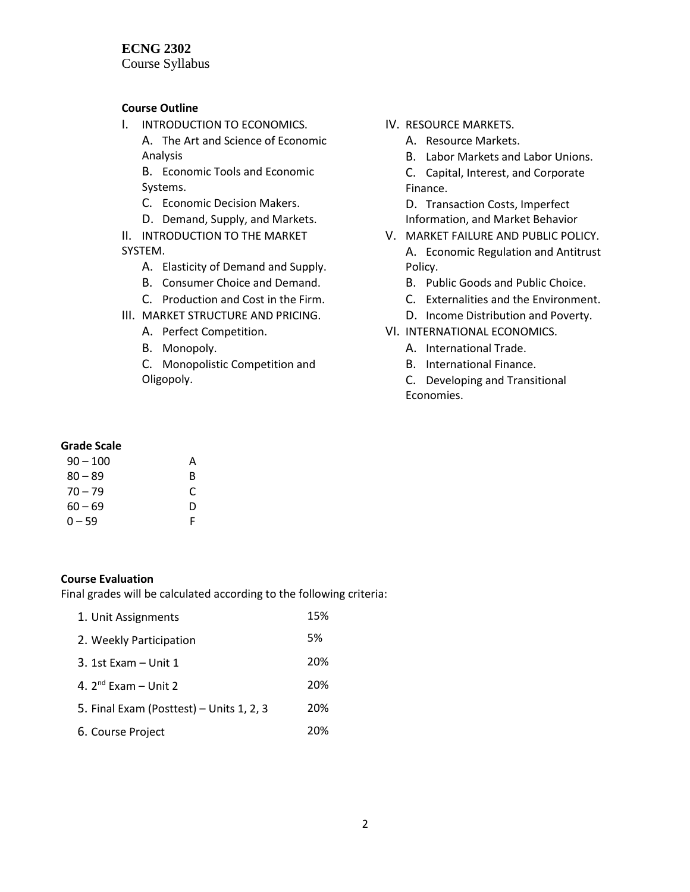## **ECNG 2302**

Course Syllabus

## **Course Outline**

I. INTRODUCTION TO ECONOMICS.

A. The Art and Science of Economic Analysis

B. Economic Tools and Economic Systems.

- C. Economic Decision Makers.
- D. Demand, Supply, and Markets.
- II. INTRODUCTION TO THE MARKET SYSTEM.
	- A. Elasticity of Demand and Supply.
	- B. Consumer Choice and Demand.
	- C. Production and Cost in the Firm.
- III. MARKET STRUCTURE AND PRICING.
	- A. Perfect Competition.
	- B. Monopoly.
	- C. Monopolistic Competition and Oligopoly.
- IV. RESOURCE MARKETS.
	- A. Resource Markets.
	- B. Labor Markets and Labor Unions.
	- C. Capital, Interest, and Corporate Finance.

D. Transaction Costs, Imperfect Information, and Market Behavior

- V. MARKET FAILURE AND PUBLIC POLICY. A. Economic Regulation and Antitrust Policy.
	- B. Public Goods and Public Choice.
	- C. Externalities and the Environment.
	- D. Income Distribution and Poverty.
- VI. INTERNATIONAL ECONOMICS.
	- A. International Trade.
	- B. International Finance.
	- C. Developing and Transitional Economies.

## **Grade Scale**

| $90 - 100$ | А |
|------------|---|
| $80 - 89$  | R |
| $70 - 79$  | C |
| $60 - 69$  | D |
| $0 - 59$   | F |

### **Course Evaluation**

Final grades will be calculated according to the following criteria:

| 1. Unit Assignments                      | 15% |
|------------------------------------------|-----|
| 2. Weekly Participation                  | 5%  |
| $3.1$ st Exam – Unit 1                   | 20% |
| 4. $2^{nd}$ Exam – Unit 2                | 20% |
| 5. Final Exam (Posttest) - Units 1, 2, 3 | 20% |
| 6. Course Project                        | 20% |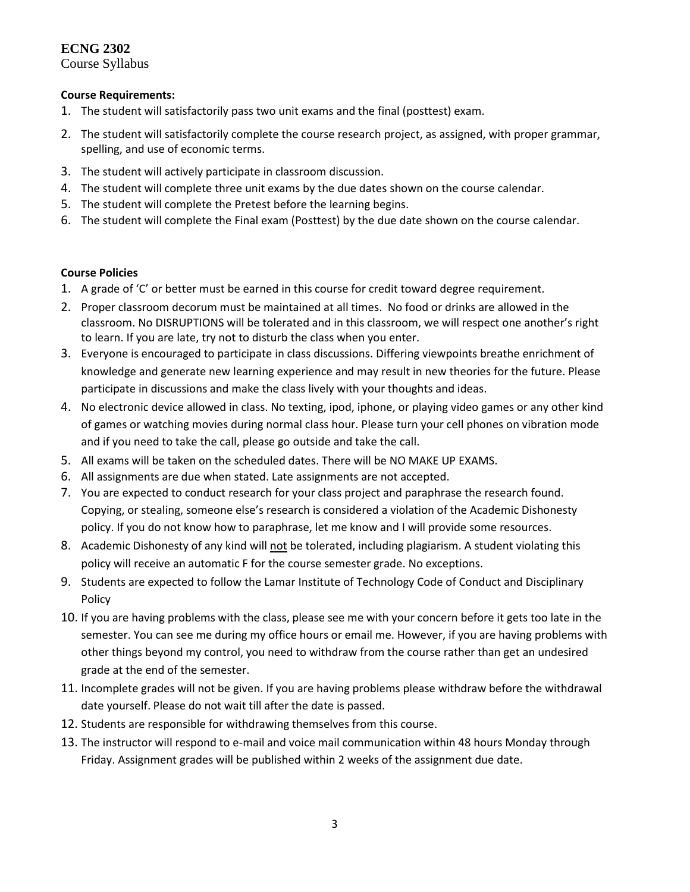# **ECNG 2302**

Course Syllabus

## **Course Requirements:**

- 1. The student will satisfactorily pass two unit exams and the final (posttest) exam.
- 2. The student will satisfactorily complete the course research project, as assigned, with proper grammar, spelling, and use of economic terms.
- 3. The student will actively participate in classroom discussion.
- 4. The student will complete three unit exams by the due dates shown on the course calendar.
- 5. The student will complete the Pretest before the learning begins.
- 6. The student will complete the Final exam (Posttest) by the due date shown on the course calendar.

## **Course Policies**

- 1. A grade of 'C' or better must be earned in this course for credit toward degree requirement.
- 2. Proper classroom decorum must be maintained at all times. No food or drinks are allowed in the classroom. No DISRUPTIONS will be tolerated and in this classroom, we will respect one another's right to learn. If you are late, try not to disturb the class when you enter.
- 3. Everyone is encouraged to participate in class discussions. Differing viewpoints breathe enrichment of knowledge and generate new learning experience and may result in new theories for the future. Please participate in discussions and make the class lively with your thoughts and ideas.
- 4. No electronic device allowed in class. No texting, ipod, iphone, or playing video games or any other kind of games or watching movies during normal class hour. Please turn your cell phones on vibration mode and if you need to take the call, please go outside and take the call.
- 5. All exams will be taken on the scheduled dates. There will be NO MAKE UP EXAMS.
- 6. All assignments are due when stated. Late assignments are not accepted.
- 7. You are expected to conduct research for your class project and paraphrase the research found. Copying, or stealing, someone else's research is considered a violation of the Academic Dishonesty policy. If you do not know how to paraphrase, let me know and I will provide some resources.
- 8. Academic Dishonesty of any kind will not be tolerated, including plagiarism. A student violating this policy will receive an automatic F for the course semester grade. No exceptions.
- 9. Students are expected to follow the Lamar Institute of Technology Code of Conduct and Disciplinary Policy
- 10. If you are having problems with the class, please see me with your concern before it gets too late in the semester. You can see me during my office hours or email me. However, if you are having problems with other things beyond my control, you need to withdraw from the course rather than get an undesired grade at the end of the semester.
- 11. Incomplete grades will not be given. If you are having problems please withdraw before the withdrawal date yourself. Please do not wait till after the date is passed.
- 12. Students are responsible for withdrawing themselves from this course.
- 13. The instructor will respond to e-mail and voice mail communication within 48 hours Monday through Friday. Assignment grades will be published within 2 weeks of the assignment due date.